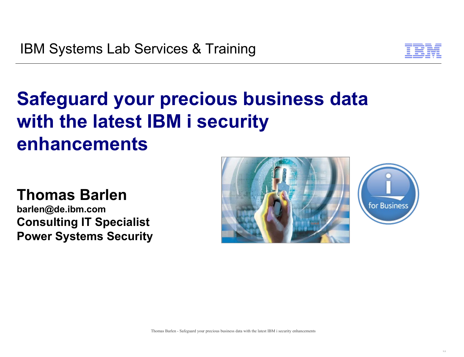

# **Safeguard your precious business data with the latest IBM i security enhancements**

#### **Thomas Barlen**

**barlen@de.ibm.com Consulting IT Specialist Power Systems Security**

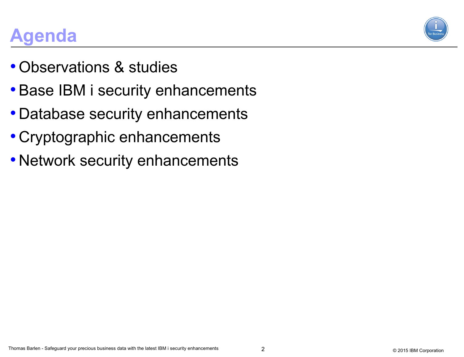

# **Agenda**

- Observations & studies
- Base IBM i security enhancements
- Database security enhancements
- Cryptographic enhancements
- Network security enhancements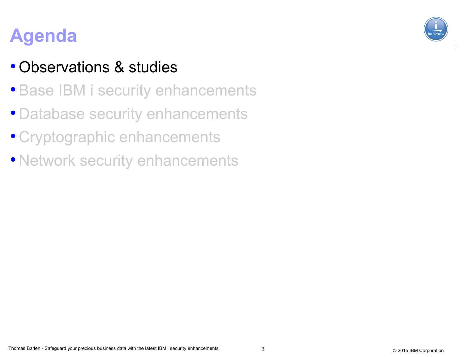# **Agenda**

### • Observations & studies

- Base IBM i security enhancements
- Database security enhancements
- Cryptographic enhancements
- Network security enhancements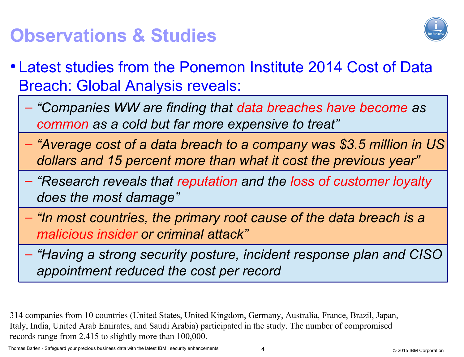## **Observations & Studies**



- Latest studies from the Ponemon Institute 2014 Cost of Data Breach: Global Analysis reveals:
	- *"Companies WW are finding that data breaches have become as common as a cold but far more expensive to treat"*
	- *"Average cost of a data breach to a company was \$3.5 million in US dollars and 15 percent more than what it cost the previous year"*
	- *"Research reveals that reputation and the loss of customer loyalty does the most damage"*
	- *"In most countries, the primary root cause of the data breach is a malicious insider or criminal attack"*
	- *"Having a strong security posture, incident response plan and CISO appointment reduced the cost per record*

314 companies from 10 countries (United States, United Kingdom, Germany, Australia, France, Brazil, Japan, Italy, India, United Arab Emirates, and Saudi Arabia) participated in the study. The number of compromised records range from 2,415 to slightly more than 100,000.

Thomas Barlen - Safeguard your precious business data with the latest IBM i security enhancements **4** 4 © 2015 IBM Corporation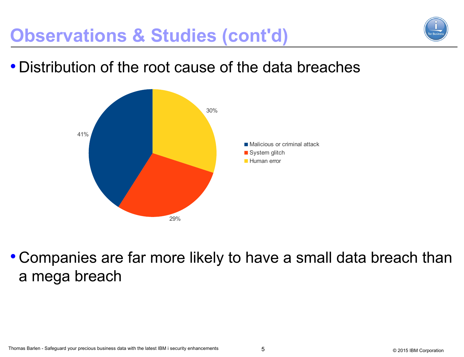# **Observations & Studies (cont'd)**



#### • Distribution of the root cause of the data breaches



• Companies are far more likely to have a small data breach than a mega breach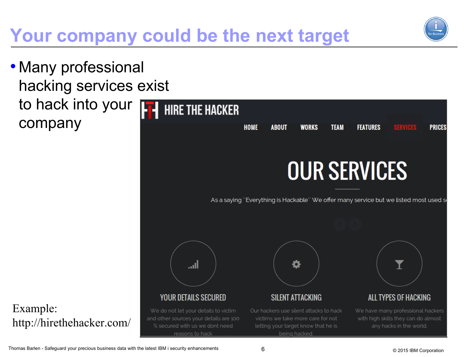

# **Your company could be the next target**

• Many professional hacking services exist to hack into your company

**HIRE THE HACKER HOME WORKS TEAM FEATURES PRICES ABOUT OUR SERVICES** As a saying "Everything is Hackable" We offer many service but we listed most used so اانت **YOUR DETAILS SECURED ALL TYPES OF HACKING SILENT ATTACKING** Our hackers use silent attacks to hack We have many professional hackers We do not let your details to victim and other sources your details are 100 victims we take more care for not with high skills they can do almost % secured with us we dont need letting your target know that he is any hacks in the world. reasons to hack being hacked.

#### Example: http://hirethehacker.com/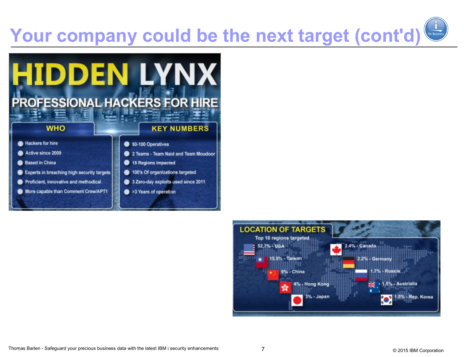# **Your company could be the next target (cont'd)**



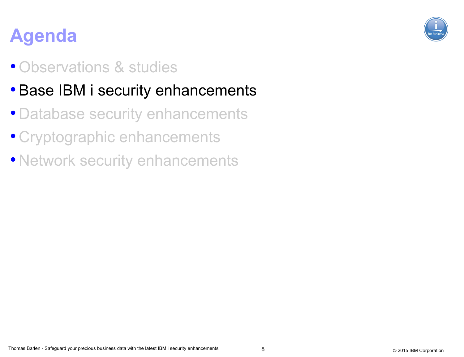

# **Agenda**

### • Observations & studies

### • Base IBM i security enhancements

- Database security enhancements
- Cryptographic enhancements
- Network security enhancements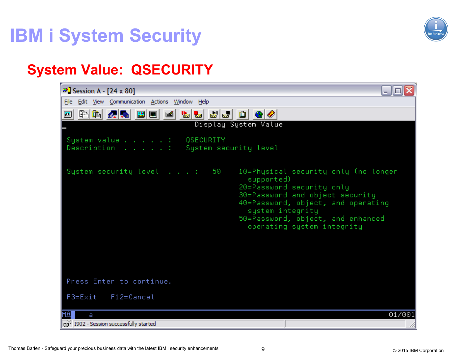

#### **System Value: QSECURITY**

| $\mathbb{F}^{\square}$ Session A - [24 x 80]                                                                                                                                                                                                                                  |
|-------------------------------------------------------------------------------------------------------------------------------------------------------------------------------------------------------------------------------------------------------------------------------|
| File Edit View Communication Actions Window Help                                                                                                                                                                                                                              |
| $\bullet$ $\bullet$ $\bullet$ $\bullet$<br>电电 硯點 圈圓<br>Ø <br>▩                                                                                                                                                                                                                |
| Display System Value                                                                                                                                                                                                                                                          |
| <b>QSECURITY</b><br>System value :<br>System security level<br>Description :                                                                                                                                                                                                  |
| System security level : 50<br>10=Physical security only (no longer<br>supported)<br>20=Password security only<br>30=Password and object security<br>40=Password, object, and operating<br>system integrity<br>50=Password, object, and enhanced<br>operating system integrity |
| Press Enter to continue.                                                                                                                                                                                                                                                      |
| F3=Exit F12=Cancel                                                                                                                                                                                                                                                            |
| 01/001<br>MА<br>а                                                                                                                                                                                                                                                             |
| 1902 - Session successfully started                                                                                                                                                                                                                                           |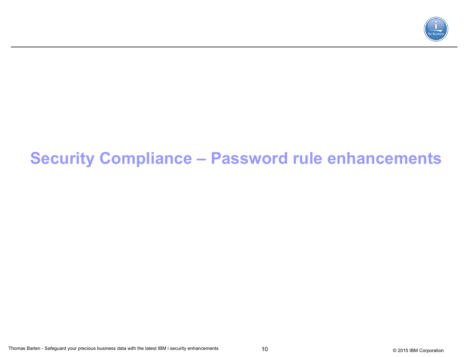

### **Security Compliance – Password rule enhancements**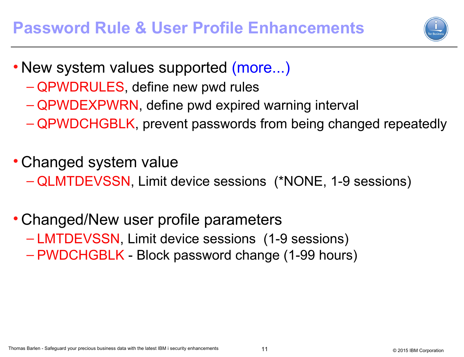

- New system values supported (more...)
	- QPWDRULES, define new pwd rules
	- QPWDEXPWRN, define pwd expired warning interval
	- QPWDCHGBLK, prevent passwords from being changed repeatedly
- Changed system value

– QLMTDEVSSN, Limit device sessions (\*NONE, 1-9 sessions)

- Changed/New user profile parameters
	- LMTDEVSSN, Limit device sessions (1-9 sessions)
	- PWDCHGBLK Block password change (1-99 hours)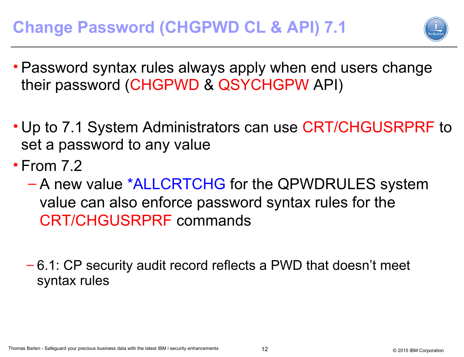

- Password syntax rules always apply when end users change their password (CHGPWD & QSYCHGPW API)
- Up to 7.1 System Administrators can use CRT/CHGUSRPRF to set a password to any value
- From 7.2
	- A new value \*ALLCRTCHG for the QPWDRULES system value can also enforce password syntax rules for the CRT/CHGUSRPRF commands
	- 6.1: CP security audit record reflects a PWD that doesn't meet syntax rules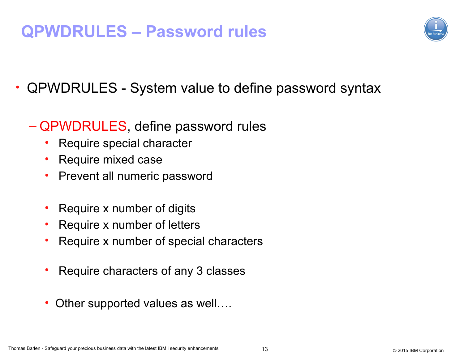

#### • QPWDRULES - System value to define password syntax

#### – QPWDRULES, define password rules

- Require special character
- Require mixed case
- Prevent all numeric password
- Require x number of digits
- **Require x number of letters**
- Require x number of special characters
- Require characters of any 3 classes
- Other supported values as well....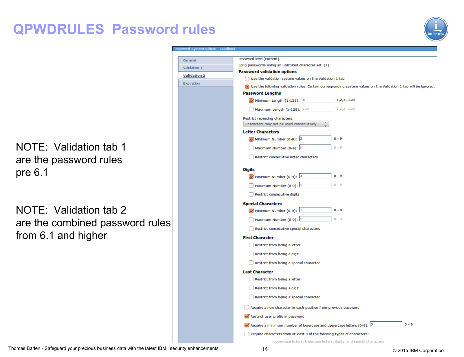#### **QPWDRULES Password rules**



#### NOTE: Validation tab 1 are the password rules pre 6.1

NOTE: Validation tab 2 are the combined password rules from 6.1 and higher

| General             | Password level (current):                                                                                          |
|---------------------|--------------------------------------------------------------------------------------------------------------------|
| Validation 1        | Long passwords using an unlimited character set. (2)                                                               |
| <b>Validation 2</b> | <b>Password validation options</b>                                                                                 |
| Expiration          | $\bigcap$ Use the validation system values on the Validation 1 tab                                                 |
|                     | O Use the following validation rules. Certain corresponding system values on the Validation 1 tab will be ignored. |
|                     | <b>Password Lengths</b>                                                                                            |
|                     | Minimum Length (1-128): $ 8 $<br>1,2,3128                                                                          |
|                     | 1,2,3128<br>Maximum Length (1-128): 128                                                                            |
|                     | Restrict repeating characters:                                                                                     |
|                     | Characters may not be used consecutively                                                                           |
|                     | <b>Letter Characters</b>                                                                                           |
|                     | Minimum Number (0-9): $3$<br>$0 - 9$                                                                               |
|                     | Maximum Number (0-9): 9<br>$0 - 9$                                                                                 |
|                     | Restrict consecutive letter characters                                                                             |
|                     | <b>Digits</b>                                                                                                      |
|                     | Minimum Number (0-9): $3$<br>$0 - 9$                                                                               |
|                     | Maximum Number (0-9): 9<br>$0 - 9$                                                                                 |
|                     | Restrict consecutive digits                                                                                        |
|                     | <b>Special Characters</b>                                                                                          |
|                     | Minimum Number (0-9): $ 1 $<br>$0 - 9$                                                                             |
|                     | Maximum Number (0-9): 9<br>$0 - 9$                                                                                 |
|                     | Restrict consecutive special characters                                                                            |
|                     | <b>First Character</b>                                                                                             |
|                     | Restrict from being a letter                                                                                       |
|                     | Restrict from being a digit                                                                                        |
|                     | Restrict from being a special character                                                                            |
|                     | <b>Last Character</b>                                                                                              |
|                     | Restrict from being a letter                                                                                       |
|                     | Restrict from being a digit                                                                                        |
|                     | Restrict from being a special character                                                                            |
|                     | Require a new character in each position from previous password                                                    |
|                     | Restrict user profile in password                                                                                  |
|                     | $0 - 9$<br>Require a minimum number of lowercase and uppercase letters (0-9): $3$                                  |
|                     | Require characters from at least 3 of the following types of characters:                                           |
|                     | uppercase letters, lowercase letters, digits, and special characters                                               |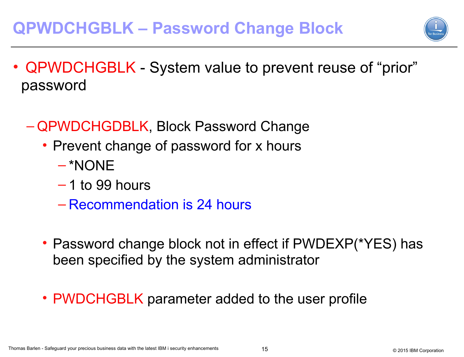

- QPWDCHGBLK System value to prevent reuse of "prior" password
	- QPWDCHGDBLK, Block Password Change
		- Prevent change of password for x hours
			- \*NONE
			- $-1$  to 99 hours
			- Recommendation is 24 hours
		- Password change block not in effect if PWDEXP(\*YES) has been specified by the system administrator
		- PWDCHGBLK parameter added to the user profile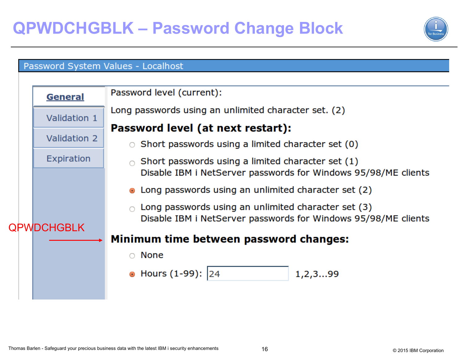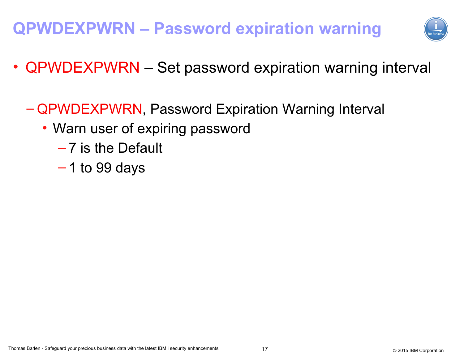

- QPWDEXPWRN Set password expiration warning interval
	- QPWDEXPWRN, Password Expiration Warning Interval
		- Warn user of expiring password
			- $-7$  is the Default
			- $-1$  to 99 days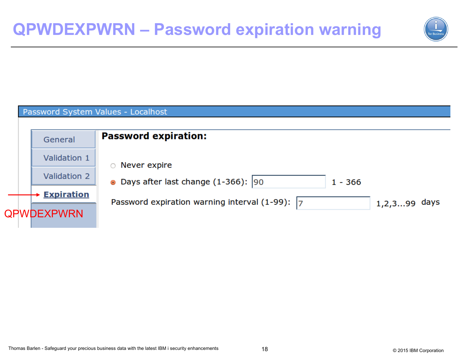

|                                        | Password System Values - Localhost                                 |
|----------------------------------------|--------------------------------------------------------------------|
| General                                | <b>Password expiration:</b>                                        |
| Validation 1                           | $\circ$ Never expire                                               |
| Validation 2                           | • Days after last change $(1-366)$ : 90<br>$1 - 366$               |
| <b>Expiration</b><br><b>QPWDEXPWRN</b> | Password expiration warning interval (1-99): $ 7 $<br>1,2,399 days |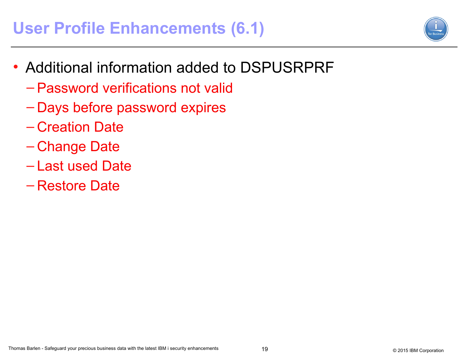### **User Profile Enhancements (6.1)**



- Additional information added to DSPUSRPRF
	- Password verifications not valid
	- Days before password expires
	- Creation Date
	- Change Date
	- Last used Date
	- Restore Date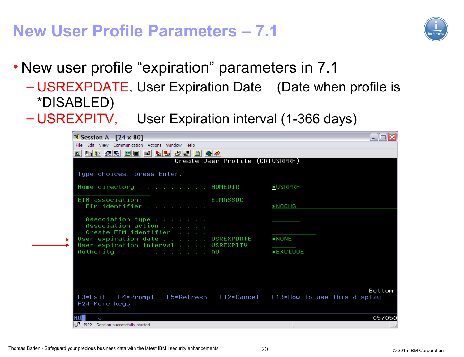#### **New User Profile Parameters – 7.1**



#### • New user profile "expiration" parameters in 7.1

#### – USREXPDATE, User Expiration Date (Date when profile is \*DISABLED)

– USREXPITV, User Expiration interval (1-366 days)

|               | $\frac{50}{2}$ Session A - [24 x 80]                                                                                                                      |                                 |                          | نکال ہے؛         |
|---------------|-----------------------------------------------------------------------------------------------------------------------------------------------------------|---------------------------------|--------------------------|------------------|
|               | File Edit View Communication Actions Window Help                                                                                                          |                                 |                          |                  |
|               | BBC HOBBC BBC<br>画                                                                                                                                        |                                 |                          |                  |
|               |                                                                                                                                                           | Create User Profile (CRIUSRPRF) |                          |                  |
|               | Type choices, press Enter.                                                                                                                                |                                 |                          |                  |
|               | Home directory HOMEDIR                                                                                                                                    |                                 | <u><b>*USRPRF</b></u>    |                  |
|               | EIM association:<br>EIM identifier                                                                                                                        | EIMASSOC                        | <b>*NOCHG</b>            |                  |
| $\rightarrow$ | Association type<br>Association action<br>Create EIM identifier<br>User expiration date USREXPDATE<br>User expiration interval USREXPITV<br>Authority AUT |                                 | <b>*NONE</b><br>*EXCLUDE |                  |
|               | F3=Exit F4=Prompt F5=Refresh F12=Cancel F13=How to use this display<br>F24=More keys                                                                      |                                 |                          | Bottom<br>05/050 |
|               | a<br>5   1902 - Session successfully started                                                                                                              |                                 |                          |                  |
|               |                                                                                                                                                           |                                 |                          |                  |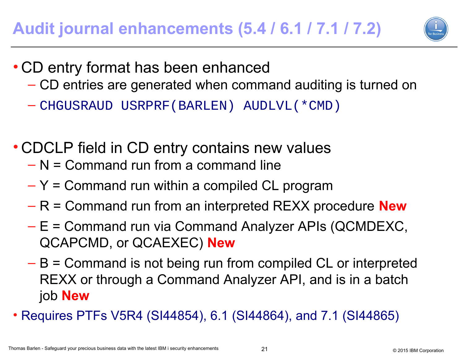

- CD entry format has been enhanced
	- CD entries are generated when command auditing is turned on
	- CHGUSRAUD USRPRF(BARLEN) AUDLVL(\*CMD)
- CDCLP field in CD entry contains new values
	- $-N =$  Command run from a command line
	- $-Y =$  Command run within a compiled CL program
	- R = Command run from an interpreted REXX procedure **New**
	- E = Command run via Command Analyzer APIs (QCMDEXC, QCAPCMD, or QCAEXEC) **New**
	- B = Command is not being run from compiled CL or interpreted REXX or through a Command Analyzer API, and is in a batch job **New**
- Requires PTFs V5R4 (SI44854), 6.1 (SI44864), and 7.1 (SI44865)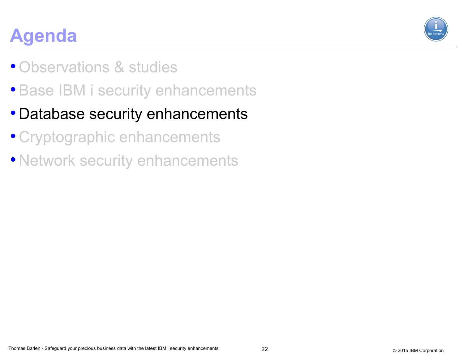

# **Agenda**

- Observations & studies
- Base IBM i security enhancements
- Database security enhancements
- Cryptographic enhancements
- Network security enhancements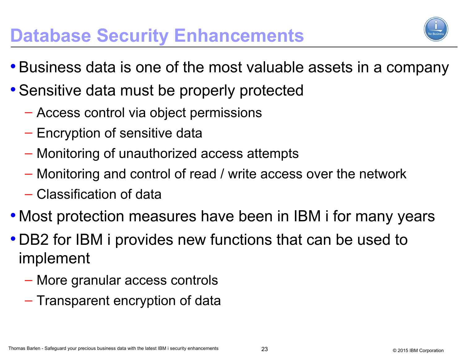### **Database Security Enhancements**



- Business data is one of the most valuable assets in a company
- Sensitive data must be properly protected
	- Access control via object permissions
	- Encryption of sensitive data
	- Monitoring of unauthorized access attempts
	- Monitoring and control of read / write access over the network
	- Classification of data
- Most protection measures have been in IBM i for many years
- DB2 for IBM i provides new functions that can be used to implement
	- More granular access controls
	- Transparent encryption of data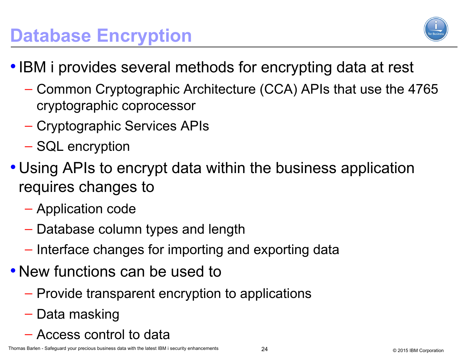

- IBM i provides several methods for encrypting data at rest
	- Common Cryptographic Architecture (CCA) APIs that use the 4765 cryptographic coprocessor
	- Cryptographic Services APIs
	- SQL encryption
- Using APIs to encrypt data within the business application requires changes to
	- Application code
	- Database column types and length
	- Interface changes for importing and exporting data
- New functions can be used to
	- Provide transparent encryption to applications
	- Data masking
	- Access control to data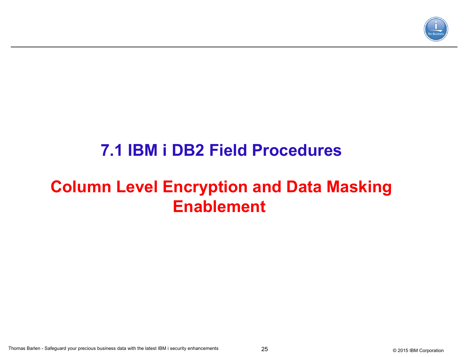

### **7.1 IBM i DB2 Field Procedures**

### **Column Level Encryption and Data Masking Enablement**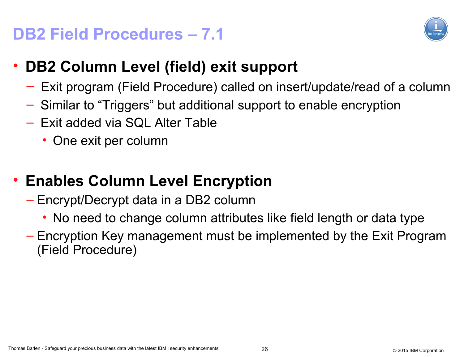

### • **DB2 Column Level (field) exit support**

- Exit program (Field Procedure) called on insert/update/read of a column
- Similar to "Triggers" but additional support to enable encryption
- Exit added via SQL Alter Table
	- One exit per column

### • **Enables Column Level Encryption**

- Encrypt/Decrypt data in a DB2 column
	- No need to change column attributes like field length or data type
- Encryption Key management must be implemented by the Exit Program (Field Procedure)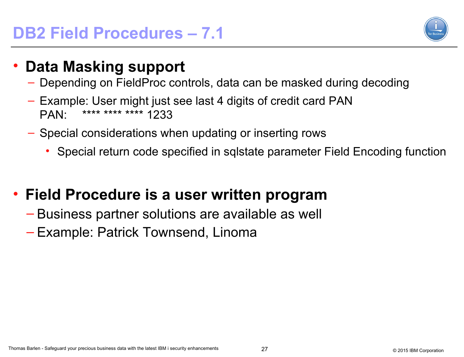

#### • **Data Masking support**

- Depending on FieldProc controls, data can be masked during decoding
- Example: User might just see last 4 digits of credit card PAN PAN: \*\*\*\* \*\*\*\* \*\*\*\* 1233
- Special considerations when updating or inserting rows
	- Special return code specified in sqlstate parameter Field Encoding function

### • **Field Procedure is a user written program**

- Business partner solutions are available as well
- Example: Patrick Townsend, Linoma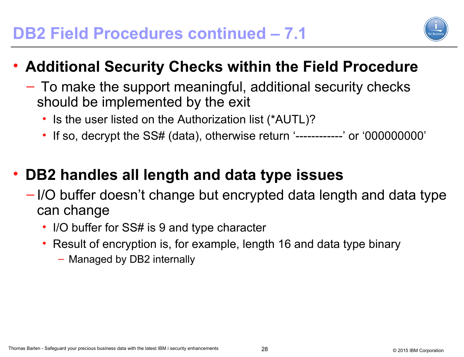

### • **Additional Security Checks within the Field Procedure**

- To make the support meaningful, additional security checks should be implemented by the exit
	- Is the user listed on the Authorization list (\*AUTL)?
	- If so, decrypt the SS# (data), otherwise return '------------' or '000000000'

#### • **DB2 handles all length and data type issues**

- I/O buffer doesn't change but encrypted data length and data type can change
	- I/O buffer for SS# is 9 and type character
	- Result of encryption is, for example, length 16 and data type binary
		- Managed by DB2 internally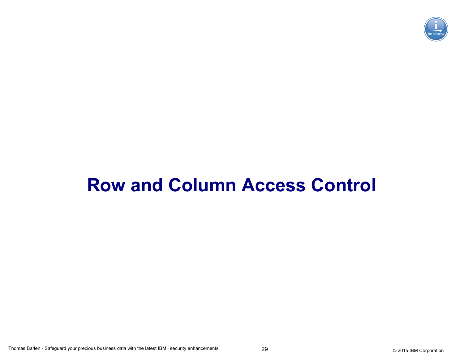

# **Row and Column Access Control**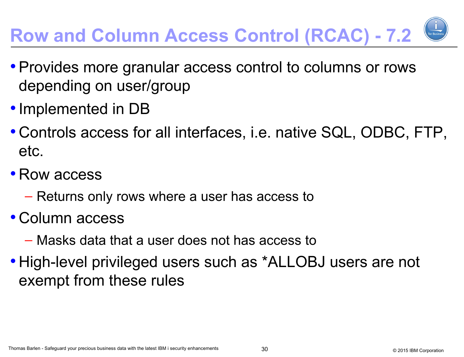# **Row and Column Access Control (RCAC) - 7.2**

- Provides more granular access control to columns or rows depending on user/group
- Implemented in DB
- Controls access for all interfaces, i.e. native SQL, ODBC, FTP, etc.
- Row access
	- Returns only rows where a user has access to
- Column access
	- Masks data that a user does not has access to
- High-level privileged users such as \*ALLOBJ users are not exempt from these rules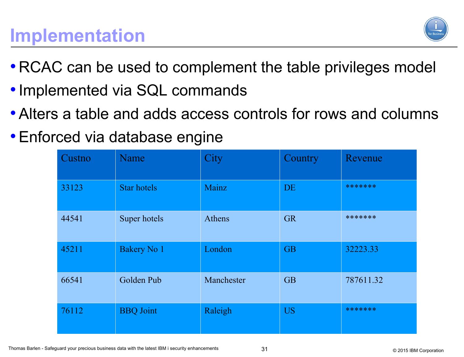

- RCAC can be used to complement the table privileges model
- Implemented via SQL commands
- Alters a table and adds access controls for rows and columns
- Enforced via database engine

| Custno | Name               | City       | Country   | Revenue   |
|--------|--------------------|------------|-----------|-----------|
| 33123  | <b>Star hotels</b> | Mainz      | <b>DE</b> | *******   |
| 44541  | Super hotels       | Athens     | <b>GR</b> | *******   |
| 45211  | <b>Bakery No 1</b> | London     | <b>GB</b> | 32223.33  |
| 66541  | Golden Pub         | Manchester | <b>GB</b> | 787611.32 |
| 76112  | <b>BBQ</b> Joint   | Raleigh    | <b>US</b> | *******   |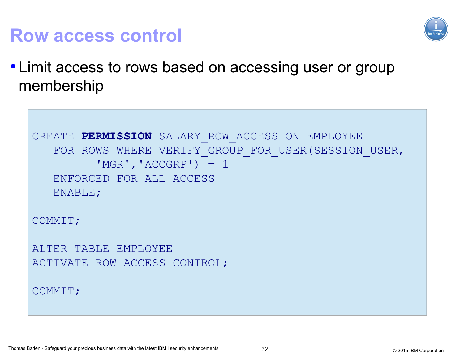

• Limit access to rows based on accessing user or group membership

```
CREATE PERMISSION SALARY_ROW_ACCESS ON EMPLOYEE
   FOR ROWS WHERE VERIFY GROUP FOR USER(SESSION USER,
         'MGR', 'ACCGRP') = 1 ENFORCED FOR ALL ACCESS
    ENABLE;
COMMIT;
ALTER TABLE EMPLOYEE
ACTIVATE ROW ACCESS CONTROL;
COMMIT;
```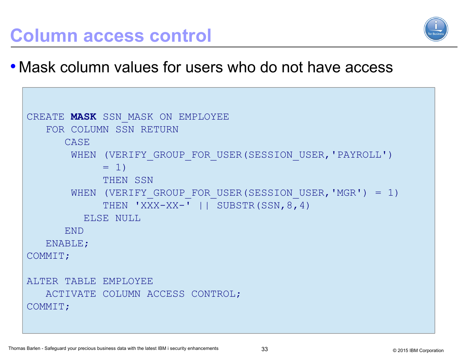

• Mask column values for users who do not have access

```
CREATE MASK SSN_MASK ON EMPLOYEE
    FOR COLUMN SSN RETURN
       CASE
       WHEN (VERIFY GROUP FOR USER(SESSION USER, 'PAYROLL')
            = 1) THEN SSN
       WHEN (VERIFY GROUP FOR USER(SESSION USER, 'MGR') = 1)
             THEN 'XXX-XX-' || SUBSTR(SSN,8,4)
          ELSE NULL
       END
    ENABLE;
COMMIT;
ALTER TABLE EMPLOYEE
    ACTIVATE COLUMN ACCESS CONTROL;
COMMIT;
```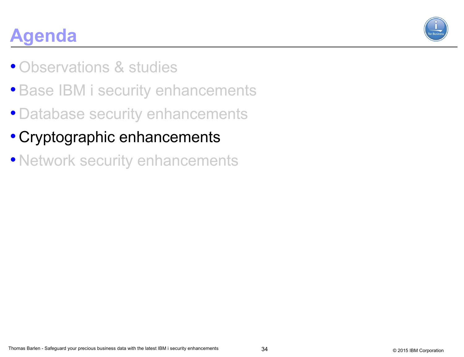

# **Agenda**

- Observations & studies
- Base IBM i security enhancements
- Database security enhancements
- Cryptographic enhancements
- Network security enhancements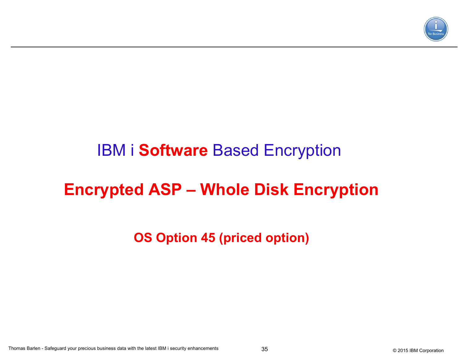

### IBM i **Software** Based Encryption

### **Encrypted ASP – Whole Disk Encryption**

**OS Option 45 (priced option)**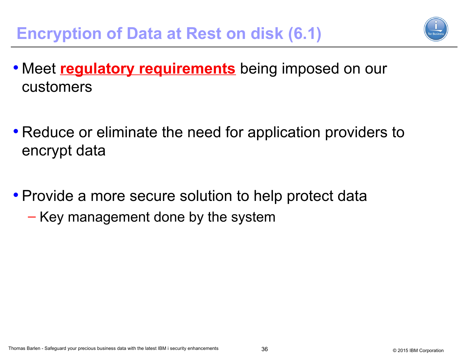### **Encryption of Data at Rest on disk (6.1)**

- Meet **regulatory requirements** being imposed on our customers
- Reduce or eliminate the need for application providers to encrypt data
- Provide a more secure solution to help protect data
	- Key management done by the system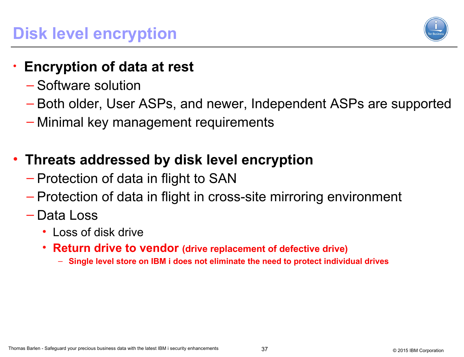

#### • **Encryption of data at rest**

- Software solution
- Both older, User ASPs, and newer, Independent ASPs are supported
- Minimal key management requirements
- **Threats addressed by disk level encryption**
	- Protection of data in flight to SAN
	- Protection of data in flight in cross-site mirroring environment
	- Data Loss
		- Loss of disk drive
		- **Return drive to vendor (drive replacement of defective drive)**
			- **Single level store on IBM i does not eliminate the need to protect individual drives**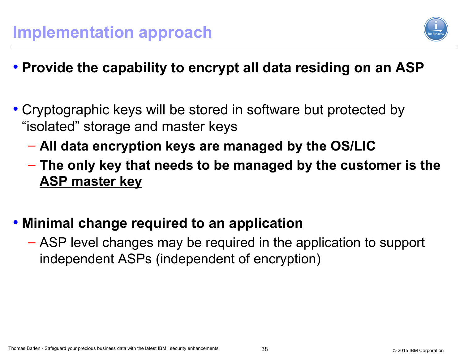

- **Provide the capability to encrypt all data residing on an ASP**
- Cryptographic keys will be stored in software but protected by "isolated" storage and master keys
	- **All data encryption keys are managed by the OS/LIC**
	- **The only key that needs to be managed by the customer is the ASP master key**

#### • **Minimal change required to an application**

– ASP level changes may be required in the application to support independent ASPs (independent of encryption)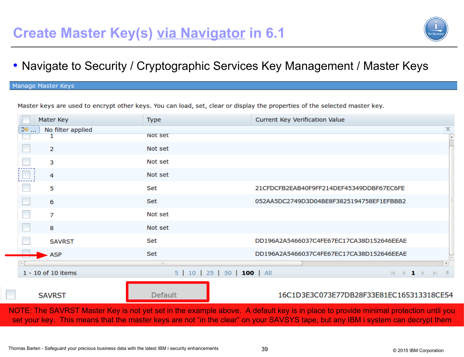#### **Create Master Key(s) via Navigator in 6.1**



#### • Navigate to Security / Cryptographic Services Key Management / Master Keys

#### Manage Master Keys

Master keys are used to encrypt other keys. You can load, set, clear or display the properties of the selected master key.

| Mater Key                                                                                                                                                                                                                                                             | <b>Type</b>                  | Current Key Verification Value           |  |  |  |
|-----------------------------------------------------------------------------------------------------------------------------------------------------------------------------------------------------------------------------------------------------------------------|------------------------------|------------------------------------------|--|--|--|
| $\Rightarrow$<br>No filter applied                                                                                                                                                                                                                                    | <b>NOT SET</b>               | х                                        |  |  |  |
| 2                                                                                                                                                                                                                                                                     | Not set                      |                                          |  |  |  |
| 3                                                                                                                                                                                                                                                                     | Not set                      |                                          |  |  |  |
| 4                                                                                                                                                                                                                                                                     | Not set                      |                                          |  |  |  |
| 5                                                                                                                                                                                                                                                                     | Set                          | 21CFDCFB2EAB40F9FF214DEF45349DDBF67EC6FE |  |  |  |
| 6                                                                                                                                                                                                                                                                     | Set                          | 052AA5DC2749D3D04BE8F3825194758EF1EFBBB2 |  |  |  |
| 7                                                                                                                                                                                                                                                                     | Not set                      |                                          |  |  |  |
| 8                                                                                                                                                                                                                                                                     | Not set                      |                                          |  |  |  |
| <b>SAVRST</b>                                                                                                                                                                                                                                                         | Set                          | DD196A2A5466037C4FE67EC17CA38D152646EEAE |  |  |  |
| <b>ASP</b>                                                                                                                                                                                                                                                            | Set                          | DD196A2A5466037C4FE67EC17CA38D152646EEAE |  |  |  |
| 1 - 10 of 10 items                                                                                                                                                                                                                                                    | 5   10   25   50   100   All | $\mathbb{H}$                             |  |  |  |
| <b>SAVRST</b>                                                                                                                                                                                                                                                         | Default                      | 16C1D3E3C073E77DB28F33E81EC165313318CE54 |  |  |  |
| NOTE: The SAVRST Master Key is not yet set in the example above. A default key is in place to provide minimal protection until you<br>set your key. This means that the master keys are not "in the clear" on your SAVSYS tape, but any IBM i system can decrypt them |                              |                                          |  |  |  |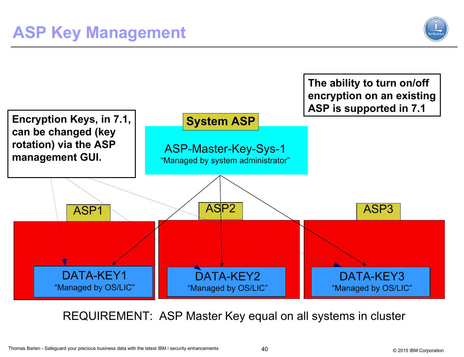



REQUIREMENT: ASP Master Key equal on all systems in cluster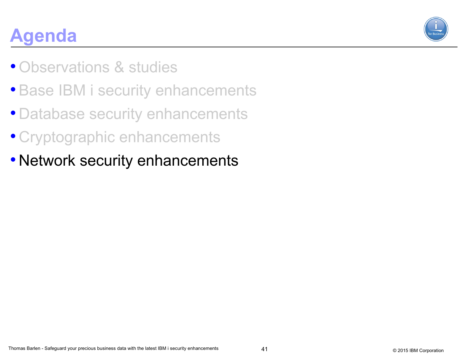

# **Agenda**

- Observations & studies
- Base IBM i security enhancements
- Database security enhancements
- Cryptographic enhancements
- Network security enhancements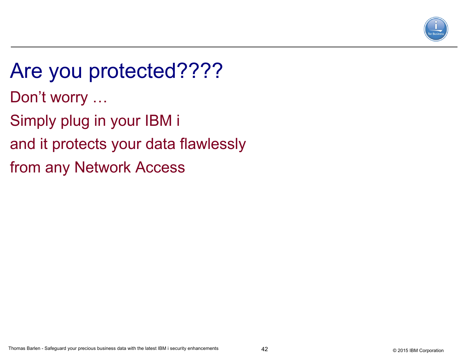

# Are you protected????

- Don't worry …
- Simply plug in your IBM i
- and it protects your data flawlessly
- from any Network Access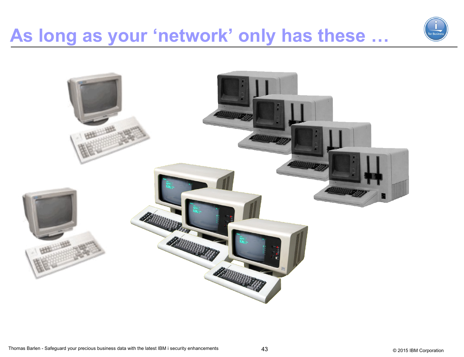# **As long as your 'network' only has these …**



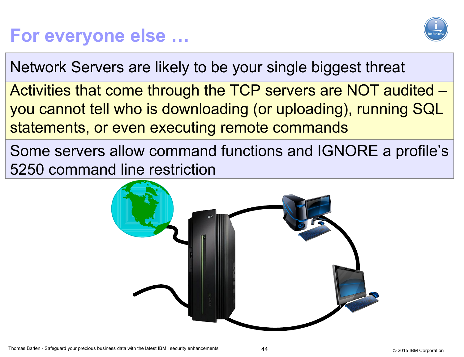

Network Servers are likely to be your single biggest threat

Activities that come through the TCP servers are NOT audited – you cannot tell who is downloading (or uploading), running SQL statements, or even executing remote commands

Some servers allow command functions and IGNORE a profile's 5250 command line restriction

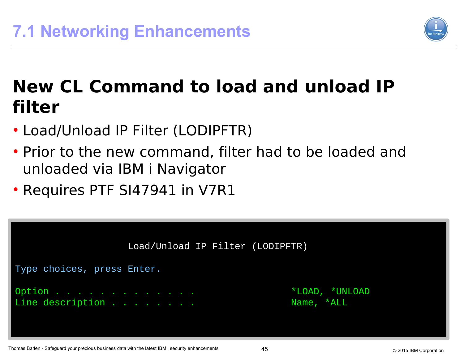

# **New CL Command to load and unload IP filter**

- Load/Unload IP Filter (LODIPFTR)
- Prior to the new command, filter had to be loaded and unloaded via IBM i Navigator
- Requires PTF SI47941 in V7R1

| Load/Unload IP Filter (LODIPFTR) |                              |
|----------------------------------|------------------------------|
| Type choices, press Enter.       |                              |
| Option<br>Line description       | *LOAD, *UNLOAD<br>Name, *ALL |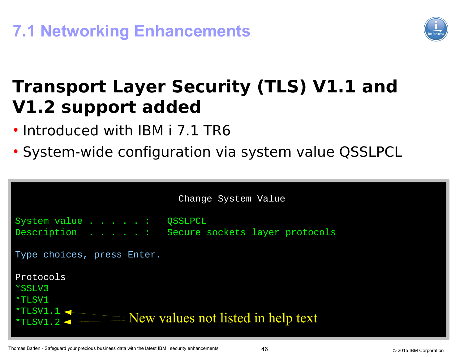

# **Transport Layer Security (TLS) V1.1 and V1.2 support added**

- Introduced with IBM i 7.1 TR6
- System-wide configuration via system value QSSLPCL

| Change System Value                                                                   |                                              |  |  |  |  |
|---------------------------------------------------------------------------------------|----------------------------------------------|--|--|--|--|
| System value : QSSLPCL                                                                | Description : Secure sockets layer protocols |  |  |  |  |
| Type choices, press Enter.                                                            |                                              |  |  |  |  |
| Protocols<br>*SSLV3<br>*TLSV1<br>$*$ TLSV1.1 $\leftarrow$<br>$*$ TLSV1.2 $\leftarrow$ | New values not listed in help text           |  |  |  |  |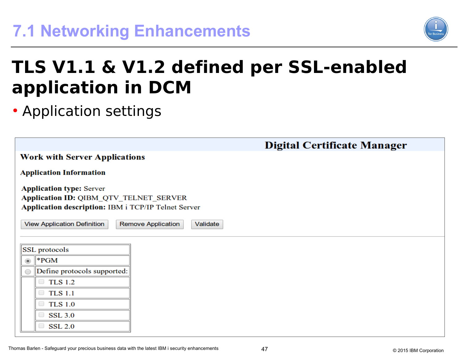

# **TLS V1.1 & V1.2 defined per SSL-enabled application in DCM**

• Application settings

|                                                                                                                                                                                                                 | <b>Digital Certificate Manager</b> |
|-----------------------------------------------------------------------------------------------------------------------------------------------------------------------------------------------------------------|------------------------------------|
| <b>Work with Server Applications</b>                                                                                                                                                                            |                                    |
| <b>Application Information</b>                                                                                                                                                                                  |                                    |
| <b>Application type: Server</b><br>Application ID: QIBM_QTV_TELNET_SERVER<br>Application description: IBM i TCP/IP Telnet Server<br>Validate<br><b>View Application Definition</b><br><b>Remove Application</b> |                                    |
| SSL protocols                                                                                                                                                                                                   |                                    |
| $*PGM$<br>۰                                                                                                                                                                                                     |                                    |
| Define protocols supported:                                                                                                                                                                                     |                                    |
| $\Box$ TLS 1.2                                                                                                                                                                                                  |                                    |
| <b>TLS 1.1</b><br>$\Box$                                                                                                                                                                                        |                                    |
| <b>TLS 1.0</b><br>0                                                                                                                                                                                             |                                    |
| <b>SSL 3.0</b><br>$\Box$                                                                                                                                                                                        |                                    |
| <b>SSL 2.0</b><br>$\Box$                                                                                                                                                                                        |                                    |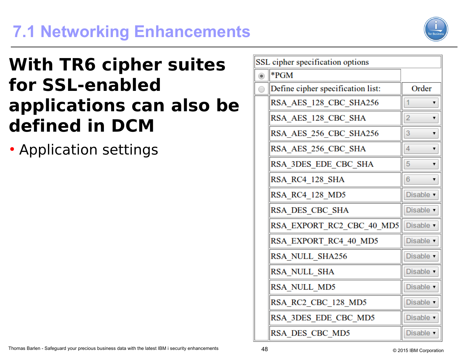

# **With TR6 cipher suites for SSL-enabled applications can also be defined in DCM**

• Application settings

| SL cipher specification options    |                      |  |  |  |
|------------------------------------|----------------------|--|--|--|
| *PGM                               |                      |  |  |  |
| Define cipher specification list:  | Order                |  |  |  |
| RSA AES 128 CBC SHA256             | 1                    |  |  |  |
| RSA AES 128 CBC SHA                | $\overline{2}$<br>۷. |  |  |  |
| RSA AES 256 CBC SHA256             | 3<br>▼               |  |  |  |
| RSA AES 256 CBC SHA                | 4<br>▼               |  |  |  |
| RSA 3DES EDE CBC SHA               | 5<br>۷.              |  |  |  |
| RSA RC4 128 SHA                    | 6                    |  |  |  |
| RSA RC4 128 MD5                    | Disable v            |  |  |  |
| RSA DES CBC SHA                    | Disable v            |  |  |  |
| RSA_EXPORT_RC2_CBC_40_MD5  Disable |                      |  |  |  |
| RSA EXPORT RC4 40 MD5              | Disable v            |  |  |  |
| RSA NULL SHA256                    | Disable v            |  |  |  |
| RSA NULL SHA                       | Disable v            |  |  |  |
| RSA NULL MD5                       | Disable v            |  |  |  |
| RSA RC2 CBC 128 MD5                | Disable v            |  |  |  |
| RSA 3DES EDE CBC MD5               | Disable v            |  |  |  |
| RSA DES CBC MD5                    | Disable v            |  |  |  |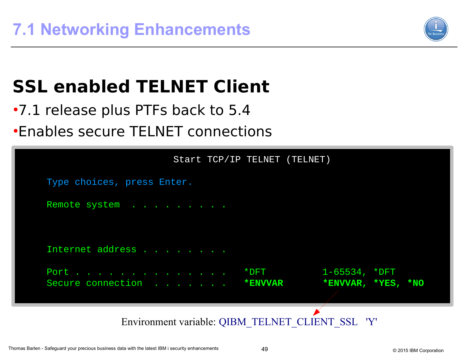

# **SSL enabled TELNET Client**

- ●7.1 release plus PTFs back to 5.4
- •Enables secure TELNET connections

|                                         | Start TCP/IP TELNET (TELNET) |                    |                    |
|-----------------------------------------|------------------------------|--------------------|--------------------|
| Type choices, press Enter.              |                              |                    |                    |
| Remote system                           |                              |                    |                    |
| Internet address                        |                              |                    |                    |
| Port *DFT<br>Secure connection * ENVVAR |                              | $1 - 65534$ , *DFT | *ENVVAR, *YES, *NO |
|                                         |                              |                    |                    |

Environment variable: QIBM\_TELNET\_CLIENT\_SSL 'Y'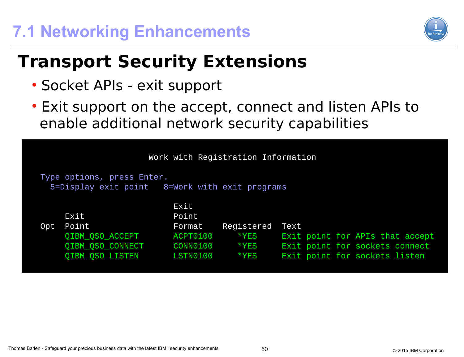

# **Transport Security Extensions**

- Socket APIs exit support
- Exit support on the accept, connect and listen APIs to enable additional network security capabilities

|                                                                              | Work with Registration Information                              |                                            |                                                   |      |                                                                                                    |  |  |
|------------------------------------------------------------------------------|-----------------------------------------------------------------|--------------------------------------------|---------------------------------------------------|------|----------------------------------------------------------------------------------------------------|--|--|
| Type options, press Enter.<br>5=Display exit point 8=Work with exit programs |                                                                 |                                            |                                                   |      |                                                                                                    |  |  |
|                                                                              | Exit                                                            | Exit<br>Point                              |                                                   |      |                                                                                                    |  |  |
| Opt                                                                          | Point<br>QIBM_QSO_ACCEPT<br>QIBM_QSO_CONNECT<br>QIBM QSO LISTEN | Format<br>ACPT0100<br>CONN0100<br>LSTN0100 | Registered<br>$*$ $YES$<br>$*$ $YES$<br>$*$ $YES$ | Text | Exit point for APIs that accept<br>Exit point for sockets connect<br>Exit point for sockets listen |  |  |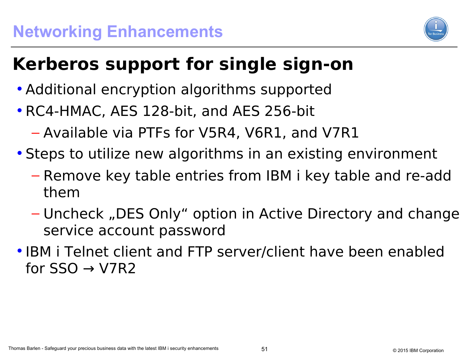

# **Kerberos support for single sign-on**

- Additional encryption algorithms supported
- RC4-HMAC, AES 128-bit, and AES 256-bit
	- Available via PTFs for V5R4, V6R1, and V7R1
- Steps to utilize new algorithms in an existing environment
	- Remove key table entries from IBM i key table and re-add them
	- Uncheck "DES Only" option in Active Directory and change service account password
- IBM i Telnet client and FTP server/client have been enabled for  $SSO \rightarrow V7R2$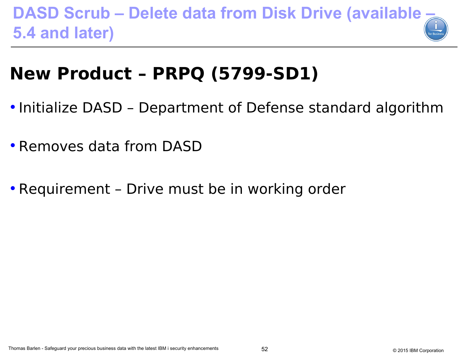### **DASD Scrub – Delete data from Disk Drive (available – 5.4 and later)**

# **New Product – PRPQ (5799-SD1)**

- Initialize DASD Department of Defense standard algorithm
- Removes data from DASD
- Requirement Drive must be in working order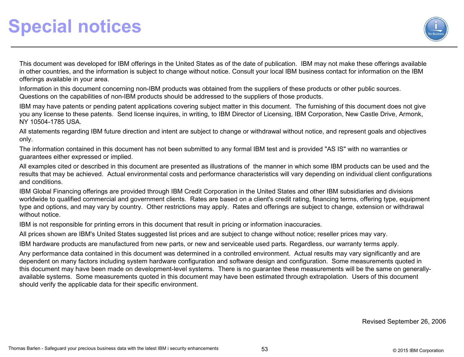# **Special notices**



This document was developed for IBM offerings in the United States as of the date of publication. IBM may not make these offerings available in other countries, and the information is subject to change without notice. Consult your local IBM business contact for information on the IBM offerings available in your area.

Information in this document concerning non-IBM products was obtained from the suppliers of these products or other public sources. Questions on the capabilities of non-IBM products should be addressed to the suppliers of those products.

IBM may have patents or pending patent applications covering subject matter in this document. The furnishing of this document does not give you any license to these patents. Send license inquires, in writing, to IBM Director of Licensing, IBM Corporation, New Castle Drive, Armonk, NY 10504-1785 USA.

All statements regarding IBM future direction and intent are subject to change or withdrawal without notice, and represent goals and objectives only.

The information contained in this document has not been submitted to any formal IBM test and is provided "AS IS" with no warranties or guarantees either expressed or implied.

All examples cited or described in this document are presented as illustrations of the manner in which some IBM products can be used and the results that may be achieved. Actual environmental costs and performance characteristics will vary depending on individual client configurations and conditions.

IBM Global Financing offerings are provided through IBM Credit Corporation in the United States and other IBM subsidiaries and divisions worldwide to qualified commercial and government clients. Rates are based on a client's credit rating, financing terms, offering type, equipment type and options, and may vary by country. Other restrictions may apply. Rates and offerings are subject to change, extension or withdrawal without notice.

IBM is not responsible for printing errors in this document that result in pricing or information inaccuracies.

All prices shown are IBM's United States suggested list prices and are subject to change without notice; reseller prices may vary.

IBM hardware products are manufactured from new parts, or new and serviceable used parts. Regardless, our warranty terms apply.

Any performance data contained in this document was determined in a controlled environment. Actual results may vary significantly and are dependent on many factors including system hardware configuration and software design and configuration. Some measurements quoted in this document may have been made on development-level systems. There is no guarantee these measurements will be the same on generallyavailable systems. Some measurements quoted in this document may have been estimated through extrapolation. Users of this document should verify the applicable data for their specific environment.

Revised September 26, 2006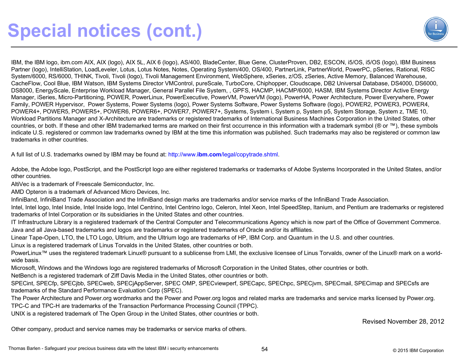# **Special notices (cont.)**



IBM, the IBM logo, ibm.com AIX, AIX (logo), AIX 5L, AIX 6 (logo), AS/400, BladeCenter, Blue Gene, ClusterProven, DB2, ESCON, i5/OS, i5/OS (logo), IBM Business Partner (logo), IntelliStation, LoadLeveler, Lotus, Lotus Notes, Notes, Operating System/400, OS/400, PartnerLink, PartnerWorld, PowerPC, pSeries, Rational, RISC System/6000, RS/6000, THINK, Tivoli, Tivoli (logo), Tivoli Management Environment, WebSphere, xSeries, z/OS, zSeries, Active Memory, Balanced Warehouse, CacheFlow, Cool Blue, IBM Watson, IBM Systems Director VMControl, pureScale, TurboCore, Chiphopper, Cloudscape, DB2 Universal Database, DS4000, DS6000, DS8000, EnergyScale, Enterprise Workload Manager, General Parallel File System, , GPFS, HACMP, HACMP/6000, HASM, IBM Systems Director Active Energy Manager, iSeries, Micro-Partitioning, POWER, PowerLinux, PowerExecutive, PowerVM, PowerVM (logo), PowerHA, Power Architecture, Power Everywhere, Power Family, POWER Hypervisor, Power Systems, Power Systems (logo), Power Systems Software, Power Systems Software (logo), POWER2, POWER3, POWER4, POWER4+, POWER5, POWER5+, POWER6, POWER6+, POWER7, POWER7+, Systems, System i, System p, System p5, System Storage, System z, TME 10, Workload Partitions Manager and X-Architecture are trademarks or registered trademarks of International Business Machines Corporation in the United States, other countries, or both. If these and other IBM trademarked terms are marked on their first occurrence in this information with a trademark symbol (® or ™), these symbols indicate U.S. registered or common law trademarks owned by IBM at the time this information was published. Such trademarks may also be registered or common law trademarks in other countries.

A full list of U.S. trademarks owned by IBM may be found at: http://www.**ibm.com**/legal/copytrade.shtml.

Adobe, the Adobe logo, PostScript, and the PostScript logo are either registered trademarks or trademarks of Adobe Systems Incorporated in the United States, and/or other countries.

AltiVec is a trademark of Freescale Semiconductor, Inc.

AMD Opteron is a trademark of Advanced Micro Devices, Inc.

InfiniBand, InfiniBand Trade Association and the InfiniBand design marks are trademarks and/or service marks of the InfiniBand Trade Association.

Intel, Intel logo, Intel Inside, Intel Inside logo, Intel Centrino, Intel Centrino logo, Celeron, Intel Xeon, Intel SpeedStep, Itanium, and Pentium are trademarks or registered trademarks of Intel Corporation or its subsidiaries in the United States and other countries.

IT Infrastructure Library is a registered trademark of the Central Computer and Telecommunications Agency which is now part of the Office of Government Commerce. Java and all Java-based trademarks and logos are trademarks or registered trademarks of Oracle and/or its affiliates.

Linear Tape-Open, LTO, the LTO Logo, Ultrium, and the Ultrium logo are trademarks of HP, IBM Corp. and Quantum in the U.S. and other countries.

Linux is a registered trademark of Linus Torvalds in the United States, other countries or both.

PowerLinux™ uses the registered trademark Linux® pursuant to a sublicense from LMI, the exclusive licensee of Linus Torvalds, owner of the Linux® mark on a worldwide basis.

Microsoft, Windows and the Windows logo are registered trademarks of Microsoft Corporation in the United States, other countries or both.

NetBench is a registered trademark of Ziff Davis Media in the United States, other countries or both.

SPECint, SPECfp, SPECibb, SPECweb, SPECiAppServer, SPEC OMP, SPECviewperf, SPECapc, SPEChpc, SPECivm, SPECmail, SPECimap and SPECsfs are trademarks of the Standard Performance Evaluation Corp (SPEC).

The Power Architecture and Power.org wordmarks and the Power and Power.org logos and related marks are trademarks and service marks licensed by Power.org. TPC-C and TPC-H are trademarks of the Transaction Performance Processing Council (TPPC).

UNIX is a registered trademark of The Open Group in the United States, other countries or both.

Other company, product and service names may be trademarks or service marks of others.

Revised November 28, 2012